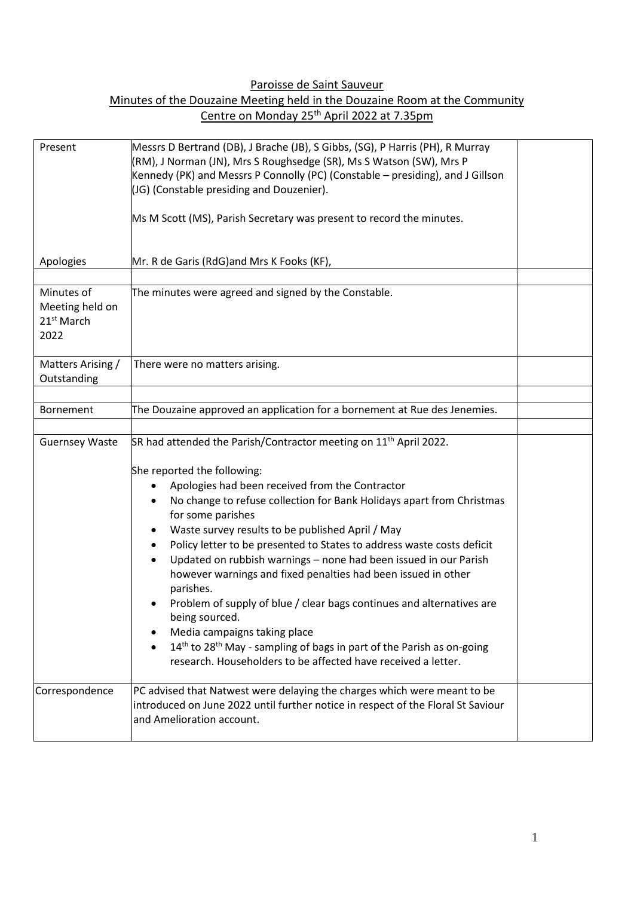Paroisse de Saint Sauveur

| Minutes of the Douzaine Meeting held in the Douzaine Room at the Community |                                                        |  |
|----------------------------------------------------------------------------|--------------------------------------------------------|--|
|                                                                            | Centre on Monday 25 <sup>th</sup> April 2022 at 7.35pm |  |

| Present                                                         | Messrs D Bertrand (DB), J Brache (JB), S Gibbs, (SG), P Harris (PH), R Murray<br>(RM), J Norman (JN), Mrs S Roughsedge (SR), Ms S Watson (SW), Mrs P<br>Kennedy (PK) and Messrs P Connolly (PC) (Constable – presiding), and J Gillson<br>(JG) (Constable presiding and Douzenier).<br>Ms M Scott (MS), Parish Secretary was present to record the minutes.                                                                                                                                                                                                                                                                                                                                                                                                                                                                                     |  |
|-----------------------------------------------------------------|-------------------------------------------------------------------------------------------------------------------------------------------------------------------------------------------------------------------------------------------------------------------------------------------------------------------------------------------------------------------------------------------------------------------------------------------------------------------------------------------------------------------------------------------------------------------------------------------------------------------------------------------------------------------------------------------------------------------------------------------------------------------------------------------------------------------------------------------------|--|
| Apologies                                                       | Mr. R de Garis (RdG)and Mrs K Fooks (KF),                                                                                                                                                                                                                                                                                                                                                                                                                                                                                                                                                                                                                                                                                                                                                                                                       |  |
| Minutes of<br>Meeting held on<br>21 <sup>st</sup> March<br>2022 | The minutes were agreed and signed by the Constable.                                                                                                                                                                                                                                                                                                                                                                                                                                                                                                                                                                                                                                                                                                                                                                                            |  |
| Matters Arising /<br>Outstanding                                | There were no matters arising.                                                                                                                                                                                                                                                                                                                                                                                                                                                                                                                                                                                                                                                                                                                                                                                                                  |  |
| Bornement                                                       | The Douzaine approved an application for a bornement at Rue des Jenemies.                                                                                                                                                                                                                                                                                                                                                                                                                                                                                                                                                                                                                                                                                                                                                                       |  |
| <b>Guernsey Waste</b>                                           | SR had attended the Parish/Contractor meeting on 11 <sup>th</sup> April 2022.<br>She reported the following:<br>Apologies had been received from the Contractor<br>No change to refuse collection for Bank Holidays apart from Christmas<br>for some parishes<br>Waste survey results to be published April / May<br>Policy letter to be presented to States to address waste costs deficit<br>٠<br>Updated on rubbish warnings - none had been issued in our Parish<br>however warnings and fixed penalties had been issued in other<br>parishes.<br>Problem of supply of blue / clear bags continues and alternatives are<br>being sourced.<br>Media campaigns taking place<br>14 <sup>th</sup> to 28 <sup>th</sup> May - sampling of bags in part of the Parish as on-going<br>research. Householders to be affected have received a letter. |  |
| Correspondence                                                  | PC advised that Natwest were delaying the charges which were meant to be<br>introduced on June 2022 until further notice in respect of the Floral St Saviour<br>and Amelioration account.                                                                                                                                                                                                                                                                                                                                                                                                                                                                                                                                                                                                                                                       |  |